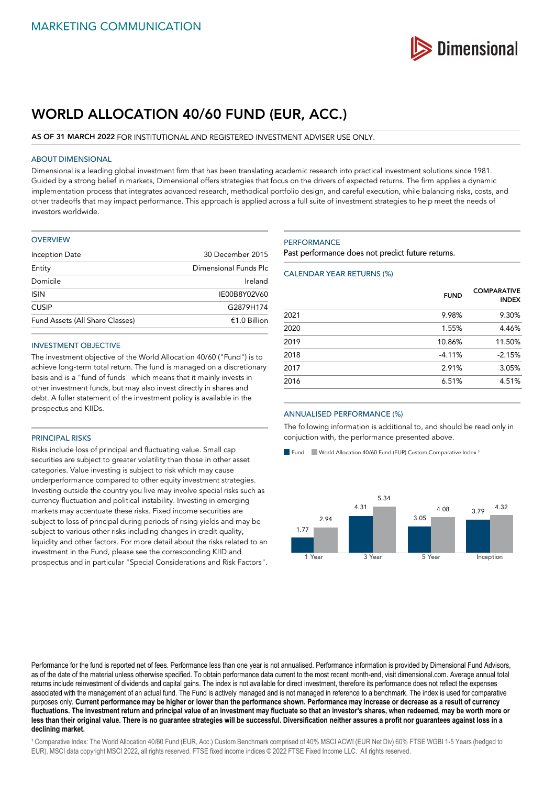

# **WORLD ALLOCATION 40/60 FUND (EUR, ACC.)**

# **AS OF 31 MARCH 2022** FOR INSTITUTIONAL AND REGISTERED INVESTMENT ADVISER USE ONLY.

# ABOUT DIMENSIONAL

Dimensional is a leading global investment firm that has been translating academic research into practical investment solutions since 1981. Guided by a strong belief in markets, Dimensional offers strategies that focus on the drivers of expected returns. The firm applies a dynamic implementation process that integrates advanced research, methodical portfolio design, and careful execution, while balancing risks, costs, and other tradeoffs that may impact performance. This approach is applied across a full suite of investment strategies to help meet the needs of investors worldwide.

#### **OVERVIEW**

| 30 December 2015      |
|-----------------------|
| Dimensional Funds Plc |
| Ireland               |
| IE00B8Y02V60          |
| G2879H174             |
| $£1.0$ Billion        |
|                       |

# INVESTMENT OBJECTIVE

The investment objective of the World Allocation 40/60 ("Fund") is to achieve long-term total return. The fund is managed on a discretionary basis and is a "fund of funds" which means that it mainly invests in other investment funds, but may also invest directly in shares and debt. A fuller statement of the investment policy is available in the prospectus and KIIDs.

# PRINCIPAL RISKS

Risks include loss of principal and fluctuating value. Small cap securities are subject to greater volatility than those in other asset categories. Value investing is subject to risk which may cause underperformance compared to other equity investment strategies. Investing outside the country you live may involve special risks such as currency fluctuation and political instability. Investing in emerging markets may accentuate these risks. Fixed income securities are subject to loss of principal during periods of rising yields and may be subject to various other risks including changes in credit quality, liquidity and other factors. For more detail about the risks related to an investment in the Fund, please see the corresponding KIID and prospectus and in particular "Special Considerations and Risk Factors".

# **PERFORMANCE**

Past performance does not predict future returns.

# CALENDAR YEAR RETURNS (%)

|      | <b>FUND</b> | <b>COMPARATIVE</b><br><b>INDEX</b> |
|------|-------------|------------------------------------|
| 2021 | 9.98%       | 9.30%                              |
| 2020 | 1.55%       | 4.46%                              |
| 2019 | 10.86%      | 11.50%                             |
| 2018 | $-4.11%$    | $-2.15%$                           |
| 2017 | 2.91%       | 3.05%                              |
| 2016 | 6.51%       | 4.51%                              |

#### ANNUALISED PERFORMANCE (%)

The following information is additional to, and should be read only in conjuction with, the performance presented above.

Fund World Allocation 40/60 Fund (EUR) Custom Comparative Index<sup>1</sup>



Performance for the fund is reported net of fees. Performance less than one year is not annualised. Performance information is provided by Dimensional Fund Advisors, as of the date of the material unless otherwise specified. To obtain performance data current to the most recent month-end, visit dimensional.com. Average annual total returns include reinvestment of dividends and capital gains. The index is not available for direct investment, therefore its performance does not reflect the expenses associated with the management of an actual fund. The Fund is actively managed and is not managed in reference to a benchmark. The index is used for comparative purposes only. **Current performance may be higher or lower than the performance shown. Performance may increase or decrease as a result of currency fluctuations. The investment return and principal value of an investment may fluctuate so that an investor's shares, when redeemed, may be worth more or less than their original value. There is no guarantee strategies will be successful. Diversification neither assures a profit nor guarantees against loss in a declining market.**

<sup>1</sup> Comparative Index: The World Allocation 40/60 Fund (EUR, Acc.) Custom Benchmark comprised of 40% MSCI ACWI (EUR Net Div) 60% FTSE WGBI 1-5 Years (hedged to EUR). MSCI data copyright MSCI 2022, all rights reserved. FTSE fixed income indices © 2022 FTSE Fixed Income LLC. All rights reserved.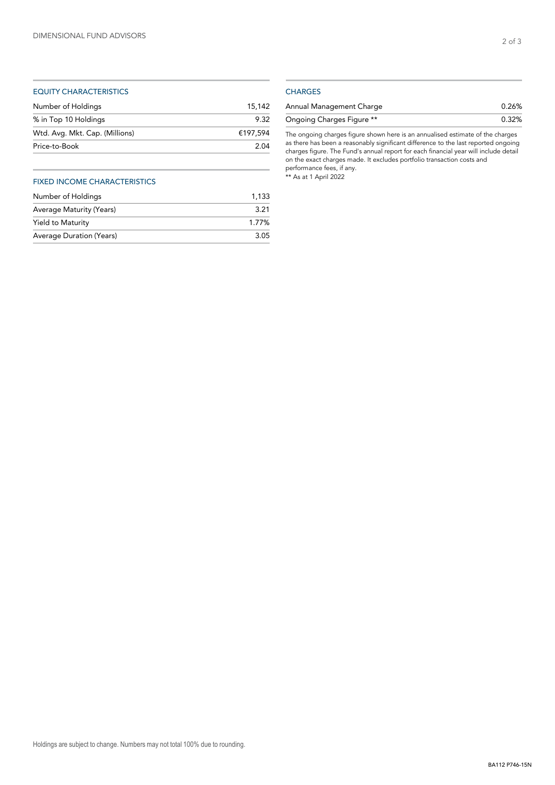# EQUITY CHARACTERISTICS

| Number of Holdings             | 15.142   |
|--------------------------------|----------|
| % in Top 10 Holdings           | 9.32     |
| Wtd. Avg. Mkt. Cap. (Millions) | €197.594 |
| Price-to-Book                  | 2.04     |
|                                |          |

# FIXED INCOME CHARACTERISTICS

| Number of Holdings       | 1.133 |
|--------------------------|-------|
| Average Maturity (Years) | 3.21  |
| Yield to Maturity        | 1.77% |
| Average Duration (Years) | 3.05  |

# **CHARGES**

| Annual Management Charge  | 0.26% |
|---------------------------|-------|
| Ongoing Charges Figure ** | 0.32% |

The ongoing charges figure shown here is an annualised estimate of the charges as there has been a reasonably significant difference to the last reported ongoing charges figure. The Fund's annual report for each financial year will include detail on the exact charges made. It excludes portfolio transaction costs and performance fees, if any. \*\* As at 1 April 2022